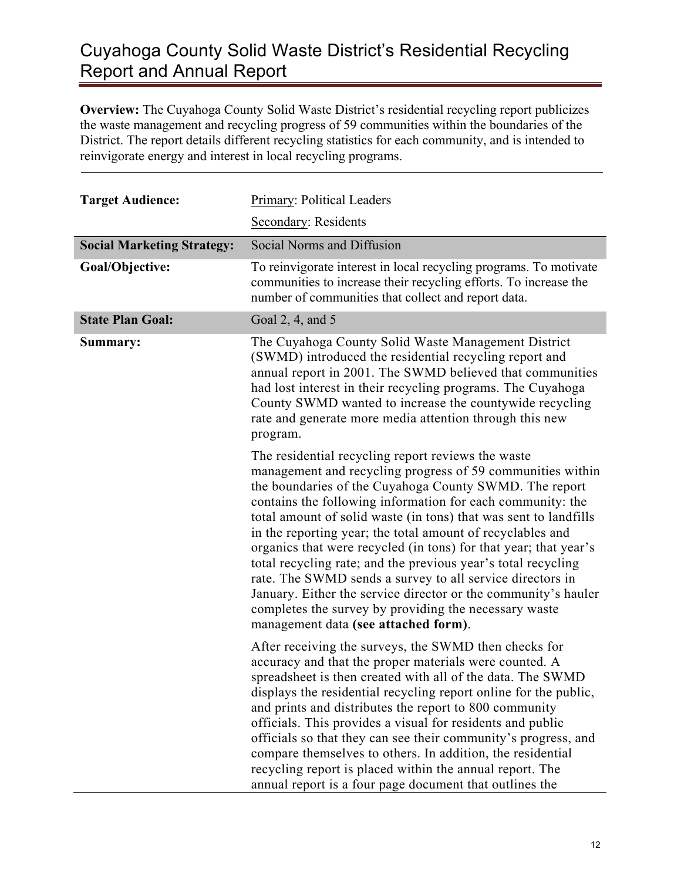## Cuyahoga County Solid Waste District's Residential Recycling Report and Annual Report

**Overview:** The Cuyahoga County Solid Waste District's residential recycling report publicizes the waste management and recycling progress of 59 communities within the boundaries of the District. The report details different recycling statistics for each community, and is intended to reinvigorate energy and interest in local recycling programs.

| <b>Target Audience:</b>           | Primary: Political Leaders                                                                                                                                                                                                                                                                                                                                                                                                                                                                                                                                                                                                                                                                                                                      |
|-----------------------------------|-------------------------------------------------------------------------------------------------------------------------------------------------------------------------------------------------------------------------------------------------------------------------------------------------------------------------------------------------------------------------------------------------------------------------------------------------------------------------------------------------------------------------------------------------------------------------------------------------------------------------------------------------------------------------------------------------------------------------------------------------|
|                                   | Secondary: Residents                                                                                                                                                                                                                                                                                                                                                                                                                                                                                                                                                                                                                                                                                                                            |
| <b>Social Marketing Strategy:</b> | Social Norms and Diffusion                                                                                                                                                                                                                                                                                                                                                                                                                                                                                                                                                                                                                                                                                                                      |
| Goal/Objective:                   | To reinvigorate interest in local recycling programs. To motivate<br>communities to increase their recycling efforts. To increase the<br>number of communities that collect and report data.                                                                                                                                                                                                                                                                                                                                                                                                                                                                                                                                                    |
| <b>State Plan Goal:</b>           | Goal 2, 4, and 5                                                                                                                                                                                                                                                                                                                                                                                                                                                                                                                                                                                                                                                                                                                                |
| Summary:                          | The Cuyahoga County Solid Waste Management District<br>(SWMD) introduced the residential recycling report and<br>annual report in 2001. The SWMD believed that communities<br>had lost interest in their recycling programs. The Cuyahoga<br>County SWMD wanted to increase the countywide recycling<br>rate and generate more media attention through this new<br>program.                                                                                                                                                                                                                                                                                                                                                                     |
|                                   | The residential recycling report reviews the waste<br>management and recycling progress of 59 communities within<br>the boundaries of the Cuyahoga County SWMD. The report<br>contains the following information for each community: the<br>total amount of solid waste (in tons) that was sent to landfills<br>in the reporting year; the total amount of recyclables and<br>organics that were recycled (in tons) for that year; that year's<br>total recycling rate; and the previous year's total recycling<br>rate. The SWMD sends a survey to all service directors in<br>January. Either the service director or the community's hauler<br>completes the survey by providing the necessary waste<br>management data (see attached form). |
|                                   | After receiving the surveys, the SWMD then checks for<br>accuracy and that the proper materials were counted. A<br>spreadsheet is then created with all of the data. The SWMD<br>displays the residential recycling report online for the public,<br>and prints and distributes the report to 800 community<br>officials. This provides a visual for residents and public<br>officials so that they can see their community's progress, and<br>compare themselves to others. In addition, the residential<br>recycling report is placed within the annual report. The<br>annual report is a four page document that outlines the                                                                                                                |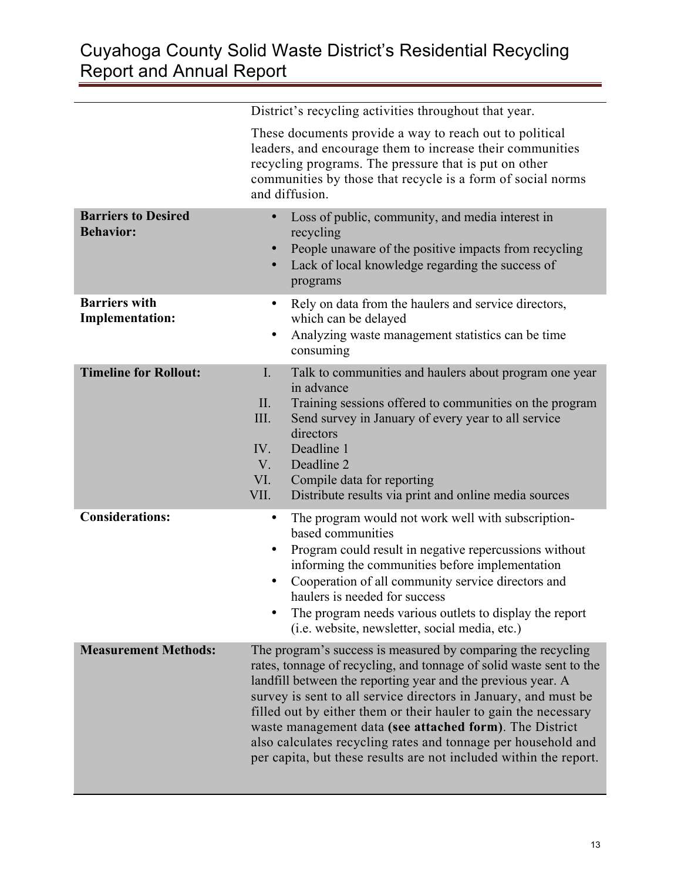## Cuyahoga County Solid Waste District's Residential Recycling Report and Annual Report

|                                                | District's recycling activities throughout that year.                                                                                                                                                                                                                                                                                                                                                                                                                                                                                      |
|------------------------------------------------|--------------------------------------------------------------------------------------------------------------------------------------------------------------------------------------------------------------------------------------------------------------------------------------------------------------------------------------------------------------------------------------------------------------------------------------------------------------------------------------------------------------------------------------------|
|                                                | These documents provide a way to reach out to political<br>leaders, and encourage them to increase their communities<br>recycling programs. The pressure that is put on other<br>communities by those that recycle is a form of social norms<br>and diffusion.                                                                                                                                                                                                                                                                             |
| <b>Barriers to Desired</b><br><b>Behavior:</b> | Loss of public, community, and media interest in<br>recycling<br>People unaware of the positive impacts from recycling<br>$\bullet$<br>Lack of local knowledge regarding the success of<br>$\bullet$<br>programs                                                                                                                                                                                                                                                                                                                           |
| <b>Barriers with</b><br><b>Implementation:</b> | Rely on data from the haulers and service directors,<br>$\bullet$<br>which can be delayed<br>Analyzing waste management statistics can be time<br>٠<br>consuming                                                                                                                                                                                                                                                                                                                                                                           |
| <b>Timeline for Rollout:</b>                   | $\mathbf{I}$ .<br>Talk to communities and haulers about program one year<br>in advance<br>Training sessions offered to communities on the program<br>II.<br>III.<br>Send survey in January of every year to all service<br>directors<br>Deadline 1<br>IV.<br>V.<br>Deadline 2<br>VI.<br>Compile data for reporting<br>VII.<br>Distribute results via print and online media sources                                                                                                                                                        |
| <b>Considerations:</b>                         | The program would not work well with subscription-<br>$\bullet$<br>based communities<br>Program could result in negative repercussions without<br>$\bullet$<br>informing the communities before implementation<br>Cooperation of all community service directors and<br>haulers is needed for success<br>The program needs various outlets to display the report<br>(i.e. website, newsletter, social media, etc.)                                                                                                                         |
| <b>Measurement Methods:</b>                    | The program's success is measured by comparing the recycling<br>rates, tonnage of recycling, and tonnage of solid waste sent to the<br>landfill between the reporting year and the previous year. A<br>survey is sent to all service directors in January, and must be<br>filled out by either them or their hauler to gain the necessary<br>waste management data (see attached form). The District<br>also calculates recycling rates and tonnage per household and<br>per capita, but these results are not included within the report. |